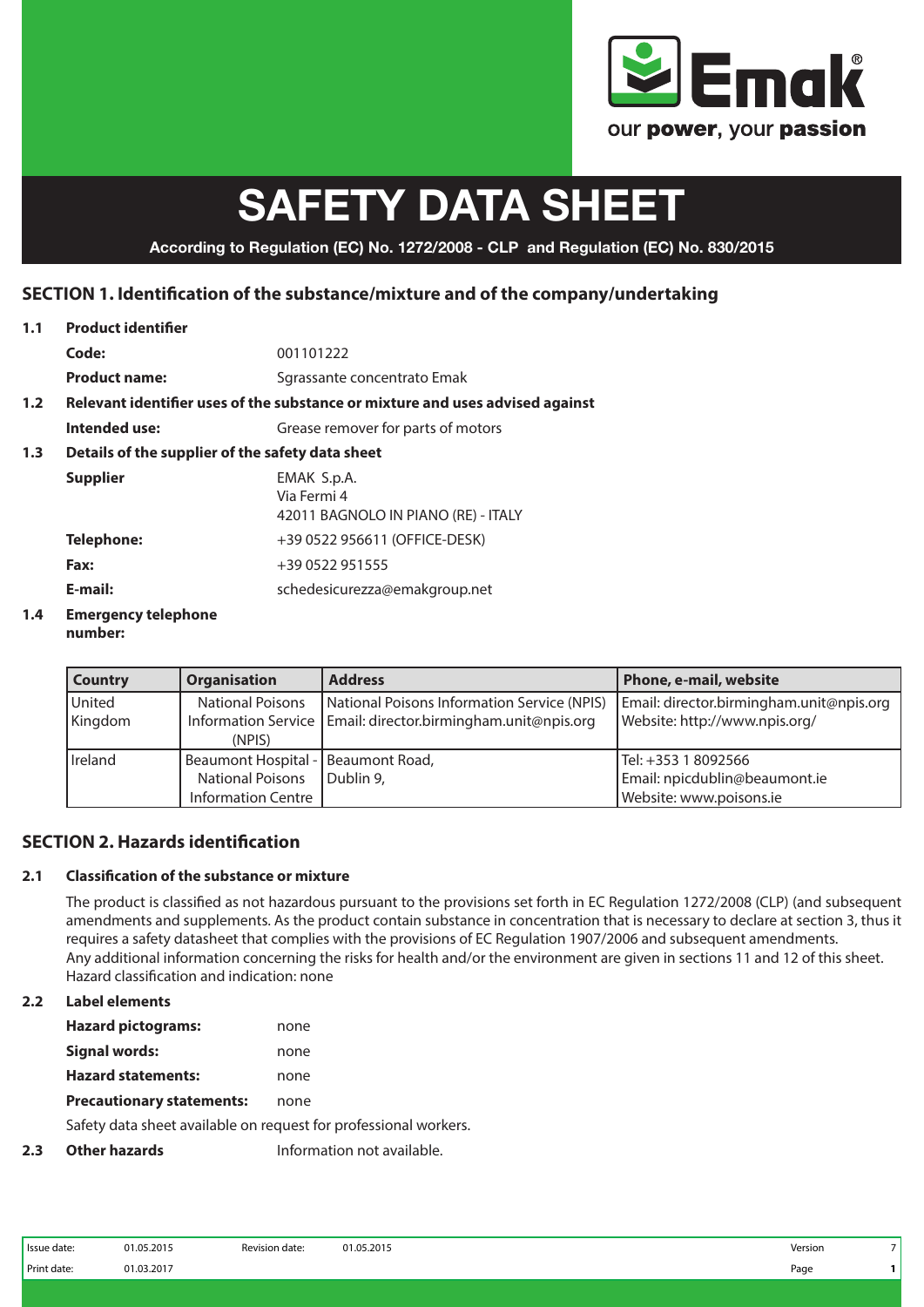

**According to Regulation (EC) No. 1272/2008 - CLP and Regulation (EC) No. 830/2015**

## **SECTION 1. Identification of the substance/mixture and of the company/undertaking**

| 1.1              | Product identifier                                                            |                                                                   |  |  |  |
|------------------|-------------------------------------------------------------------------------|-------------------------------------------------------------------|--|--|--|
|                  | Code:                                                                         | 001101222                                                         |  |  |  |
|                  | <b>Product name:</b>                                                          | Sgrassante concentrato Emak                                       |  |  |  |
| 1.2 <sub>2</sub> | Relevant identifier uses of the substance or mixture and uses advised against |                                                                   |  |  |  |
|                  | Intended use:                                                                 | Grease remover for parts of motors                                |  |  |  |
| 1.3              | Details of the supplier of the safety data sheet                              |                                                                   |  |  |  |
|                  | <b>Supplier</b>                                                               | EMAK S.p.A.<br>Via Fermi 4<br>42011 BAGNOLO IN PIANO (RE) - ITALY |  |  |  |
|                  | Telephone:                                                                    | +39 0522 956611 (OFFICE-DESK)                                     |  |  |  |
|                  | Fax:                                                                          | +39 0522 951555                                                   |  |  |  |
|                  | E-mail:                                                                       | schedesicurezza@emakgroup.net                                     |  |  |  |

#### **1.4 Emergency telephone number:**

| <b>Country</b> | <b>Organisation</b>                | <b>Address</b>                                                 | Phone, e-mail, website                   |
|----------------|------------------------------------|----------------------------------------------------------------|------------------------------------------|
| United         | <b>National Poisons</b>            | National Poisons Information Service (NPIS)                    | Email: director.birmingham.unit@npis.org |
| Kingdom        |                                    | Information Service   Email: director.birmingham.unit@npis.org | Website: http://www.npis.org/            |
|                | (NPIS)                             |                                                                |                                          |
| Ireland        | Beaumont Hospital - Beaumont Road, |                                                                | Tel: +353 1 8092566                      |
|                | <b>National Poisons</b>            | l Dublin 9,                                                    | Email: npicdublin@beaumont.ie            |
|                | <b>Information Centre</b>          |                                                                | Website: www.poisons.ie                  |

# **SECTION 2. Hazards identification**

## **2.1 Classification of the substance or mixture**

The product is classified as not hazardous pursuant to the provisions set forth in EC Regulation 1272/2008 (CLP) (and subsequent amendments and supplements. As the product contain substance in concentration that is necessary to declare at section 3, thus it requires a safety datasheet that complies with the provisions of EC Regulation 1907/2006 and subsequent amendments. Any additional information concerning the risks for health and/or the environment are given in sections 11 and 12 of this sheet. Hazard classification and indication: none

## **2.2 Label elements**

| <b>Hazard pictograms:</b>                                        | none |
|------------------------------------------------------------------|------|
| Signal words:                                                    | none |
| <b>Hazard statements:</b>                                        | none |
| <b>Precautionary statements:</b>                                 | none |
| Safety data sheet available on request for professional workers. |      |

**2.3 Other hazards Information not available.**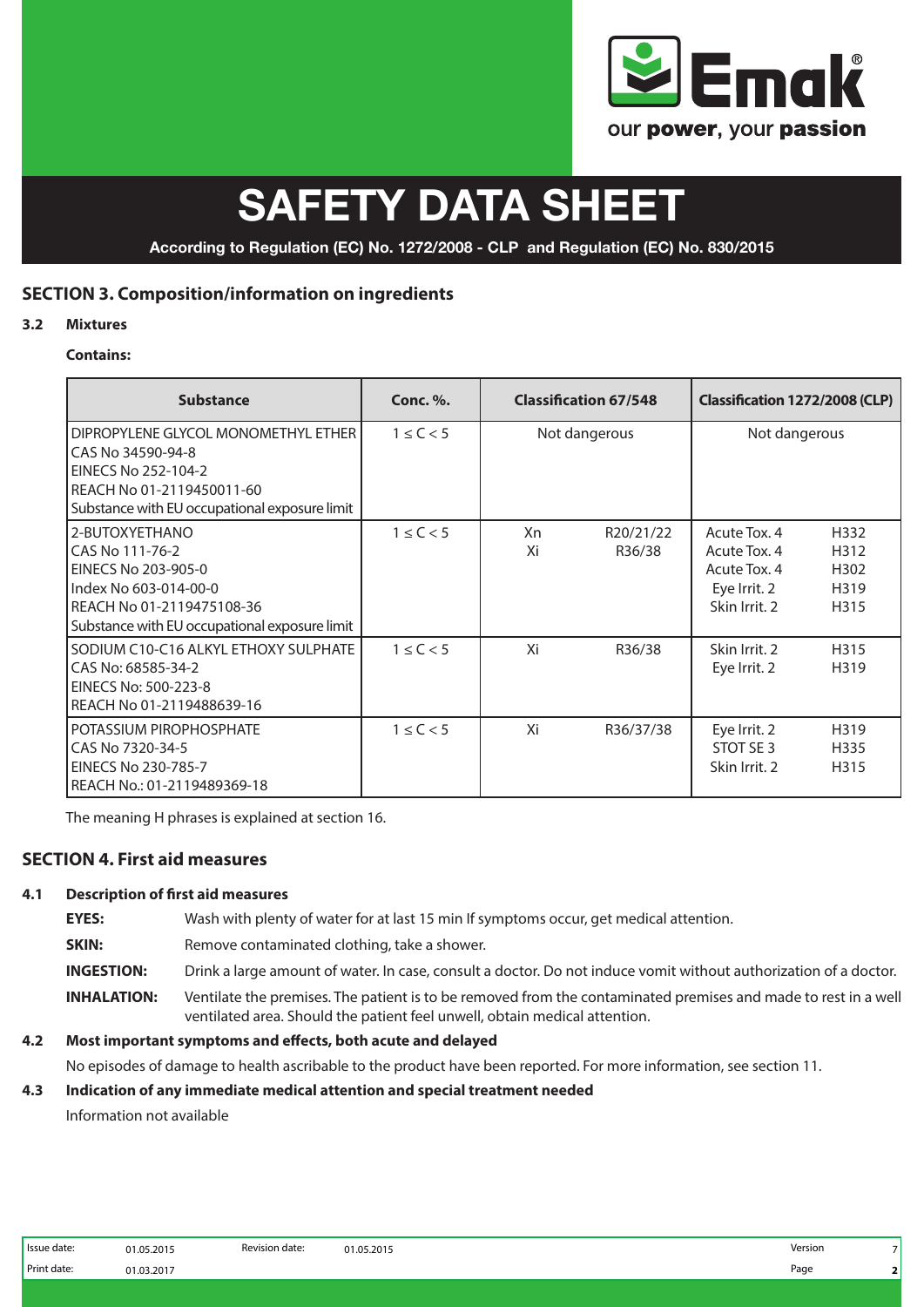

**According to Regulation (EC) No. 1272/2008 - CLP and Regulation (EC) No. 830/2015**

## **SECTION 3. Composition/information on ingredients**

#### **3.2 Mixtures**

## **Contains:**

| <b>Substance</b>                                                                                                                                                | <b>Conc. %.</b> |          | <b>Classification 67/548</b> | <b>Classification 1272/2008 (CLP)</b>                                         |                                                  |
|-----------------------------------------------------------------------------------------------------------------------------------------------------------------|-----------------|----------|------------------------------|-------------------------------------------------------------------------------|--------------------------------------------------|
| DIPROPYLENE GLYCOL MONOMETHYL ETHER<br>CAS No 34590-94-8<br>EINECS No 252-104-2<br>REACH No 01-2119450011-60<br>Substance with EU occupational exposure limit   | $1 \leq C < 5$  |          | Not dangerous                | Not dangerous                                                                 |                                                  |
| 2-BUTOXYETHANO<br>CAS No 111-76-2<br>EINECS No 203-905-0<br>Index No 603-014-00-0<br>REACH No 01-2119475108-36<br>Substance with EU occupational exposure limit | $1 \leq C < 5$  | Xn<br>Xi | R20/21/22<br>R36/38          | Acute Tox, 4<br>Acute Tox, 4<br>Acute Tox, 4<br>Eye Irrit. 2<br>Skin Irrit, 2 | H332<br>H312<br>H <sub>302</sub><br>H319<br>H315 |
| SODIUM C10-C16 ALKYL ETHOXY SULPHATE<br>CAS No: 68585-34-2<br>EINECS No: 500-223-8<br>REACH No 01-2119488639-16                                                 | $1 \leq C < 5$  | Xi       | R36/38                       | Skin Irrit. 2<br>Eye Irrit. 2                                                 | H315<br>H319                                     |
| POTASSIUM PIROPHOSPHATE<br>CAS No 7320-34-5<br>EINECS No 230-785-7<br>REACH No.: 01-2119489369-18                                                               | $1 \leq C < 5$  | Xi       | R36/37/38                    | Eye Irrit. 2<br>STOT SE 3<br>Skin Irrit. 2                                    | H319<br>H335<br>H315                             |

The meaning H phrases is explained at section 16.

## **SECTION 4. First aid measures**

## **4.1 Description of first aid measures**

- **EYES:** Wash with plenty of water for at last 15 min If symptoms occur, get medical attention.
- **SKIN:** Remove contaminated clothing, take a shower.
- **INGESTION:** Drink a large amount of water. In case, consult a doctor. Do not induce vomit without authorization of a doctor.
- **INHALATION:** Ventilate the premises. The patient is to be removed from the contaminated premises and made to rest in a well ventilated area. Should the patient feel unwell, obtain medical attention.

## **4.2 Most important symptoms and effects, both acute and delayed**

No episodes of damage to health ascribable to the product have been reported. For more information, see section 11.

## **4.3 Indication of any immediate medical attention and special treatment needed**

Information not available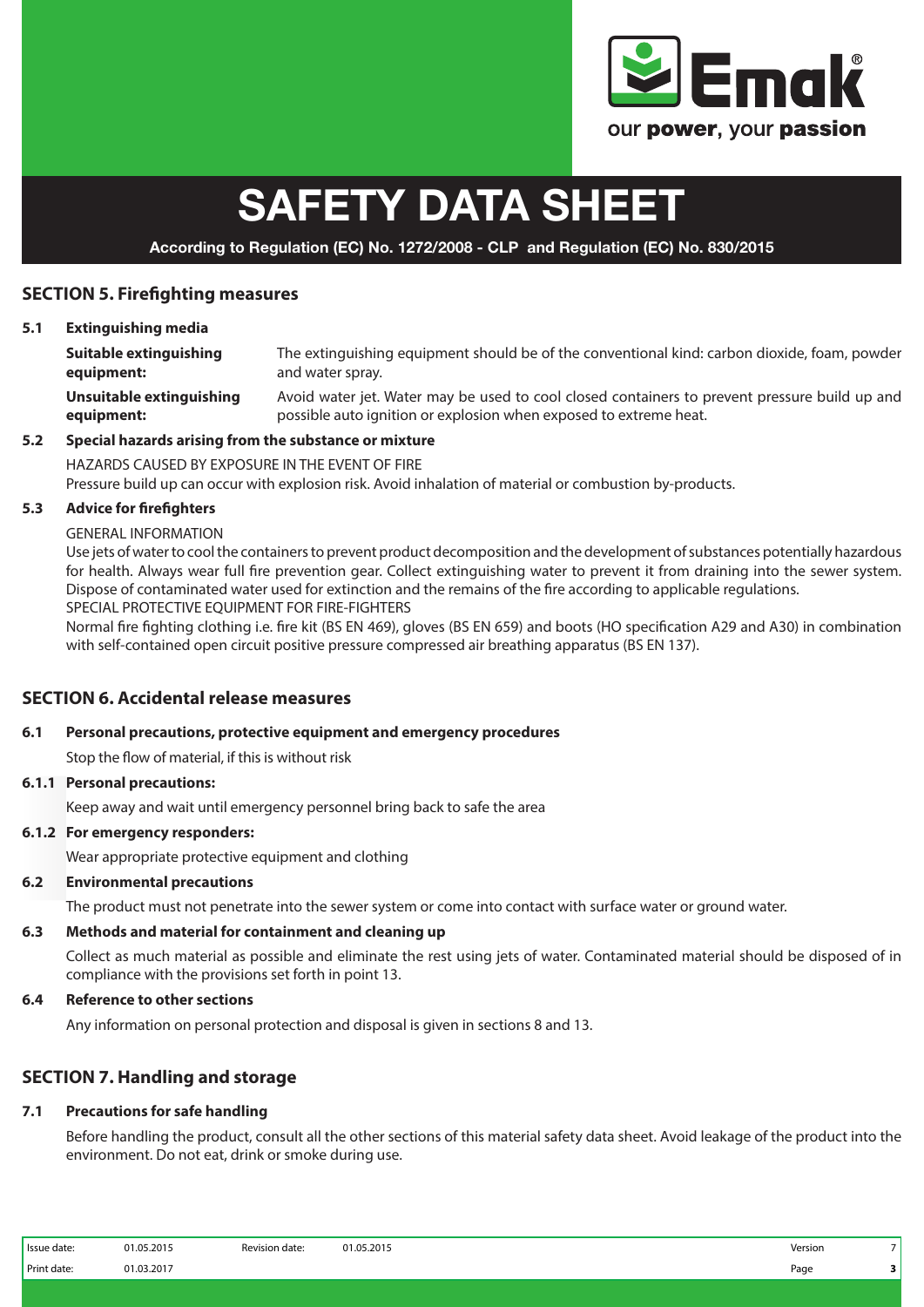

**According to Regulation (EC) No. 1272/2008 - CLP and Regulation (EC) No. 830/2015**

## **SECTION 5. Firefighting measures**

### **5.1 Extinguishing media**

**Suitable extinguishing equipment:** The extinguishing equipment should be of the conventional kind: carbon dioxide, foam, powder and water spray. **Unsuitable extinguishing equipment:** Avoid water jet. Water may be used to cool closed containers to prevent pressure build up and possible auto ignition or explosion when exposed to extreme heat.

## **5.2 Special hazards arising from the substance or mixture**

HAZARDS CAUSED BY EXPOSURE IN THE EVENT OF FIRE Pressure build up can occur with explosion risk. Avoid inhalation of material or combustion by-products.

## **5.3 Advice for firefighters**

### GENERAL INFORMATION

Use jets of water to cool the containers to prevent product decomposition and the development of substances potentially hazardous for health. Always wear full fire prevention gear. Collect extinguishing water to prevent it from draining into the sewer system. Dispose of contaminated water used for extinction and the remains of the fire according to applicable regulations. SPECIAL PROTECTIVE EQUIPMENT FOR FIRE-FIGHTERS

Normal fire fighting clothing i.e. fire kit (BS EN 469), gloves (BS EN 659) and boots (HO specification A29 and A30) in combination with self-contained open circuit positive pressure compressed air breathing apparatus (BS EN 137).

## **SECTION 6. Accidental release measures**

## **6.1 Personal precautions, protective equipment and emergency procedures**

Stop the flow of material, if this is without risk

## **6.1.1 Personal precautions:**

Keep away and wait until emergency personnel bring back to safe the area

## **6.1.2 For emergency responders:**

Wear appropriate protective equipment and clothing

## **6.2 Environmental precautions**

The product must not penetrate into the sewer system or come into contact with surface water or ground water.

## **6.3 Methods and material for containment and cleaning up**

Collect as much material as possible and eliminate the rest using jets of water. Contaminated material should be disposed of in compliance with the provisions set forth in point 13.

## **6.4 Reference to other sections**

Any information on personal protection and disposal is given in sections 8 and 13.

## **SECTION 7. Handling and storage**

## **7.1 Precautions for safe handling**

Before handling the product, consult all the other sections of this material safety data sheet. Avoid leakage of the product into the environment. Do not eat, drink or smoke during use.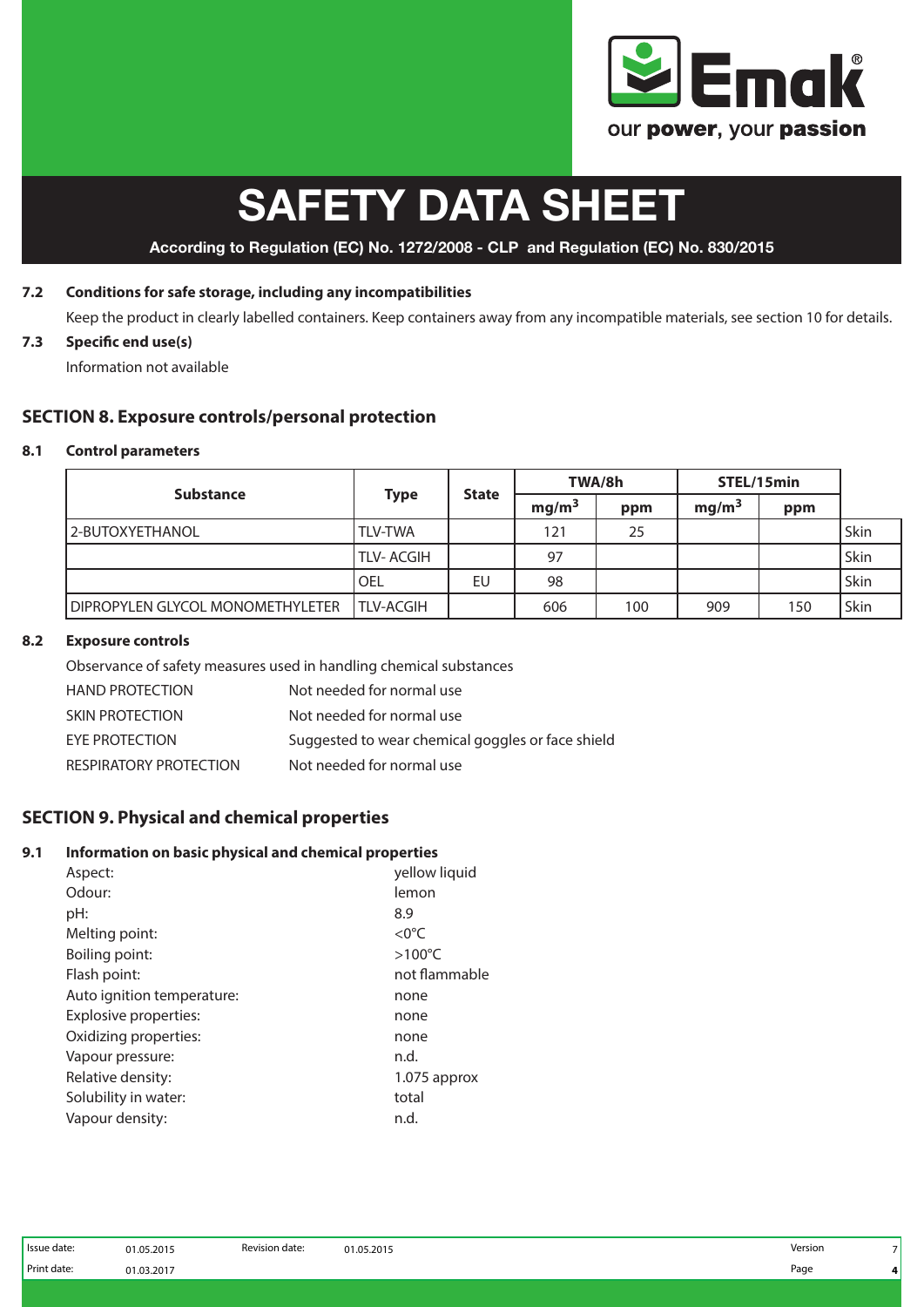

**According to Regulation (EC) No. 1272/2008 - CLP and Regulation (EC) No. 830/2015**

## **7.2 Conditions for safe storage, including any incompatibilities**

Keep the product in clearly labelled containers. Keep containers away from any incompatible materials, see section 10 for details.

## **7.3 Specific end use(s)**

Information not available

## **SECTION 8. Exposure controls/personal protection**

## **8.1 Control parameters**

| <b>Substance</b>                   |                  |              | TWA/8h            |     | STEL/15min        |     |      |
|------------------------------------|------------------|--------------|-------------------|-----|-------------------|-----|------|
|                                    | <b>Type</b>      | <b>State</b> | mg/m <sup>3</sup> | ppm | mg/m <sup>3</sup> | ppm |      |
| l 2-BUTOXYETHANOL                  | <b>TLV-TWA</b>   |              | 121               | 25  |                   |     | Skin |
|                                    | <b>TLV-ACGIH</b> |              | 97                |     |                   |     | Skin |
|                                    | OEL              | EU           | 98                |     |                   |     | Skin |
| I DIPROPYLEN GLYCOL MONOMETHYLETER | <b>TLV-ACGIH</b> |              | 606               | 100 | 909               | 150 | Skin |

### **8.2 Exposure controls**

Observance of safety measures used in handling chemical substances HAND PROTECTION Not needed for normal use

SKIN PROTECTION Not needed for normal use EYE PROTECTION Suggested to wear chemical goggles or face shield RESPIRATORY PROTECTION Not needed for normal use

## **SECTION 9. Physical and chemical properties**

# **9.1 Information on basic physical and chemical properties**

| Aspect:                    | yellow liquid    |
|----------------------------|------------------|
| Odour:                     | lemon            |
| pH:                        | 8.9              |
| Melting point:             | $<$ 0°C          |
| Boiling point:             | $>100^{\circ}$ C |
| Flash point:               | not flammable    |
| Auto ignition temperature: | none             |
| Explosive properties:      | none             |
| Oxidizing properties:      | none             |
| Vapour pressure:           | n.d.             |
| Relative density:          | 1.075 approx     |
| Solubility in water:       | total            |
| Vapour density:            | n.d.             |
|                            |                  |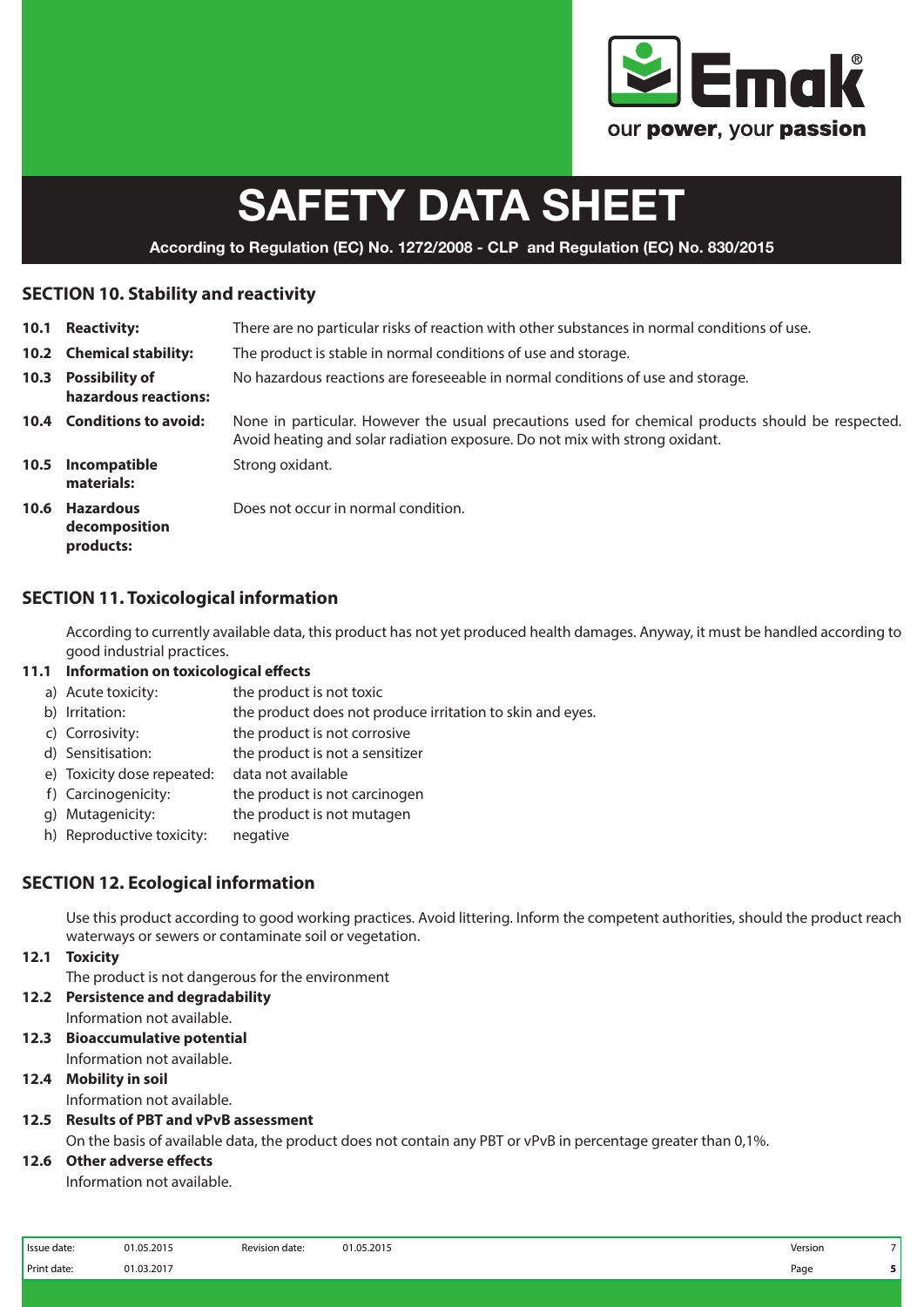

**According to Regulation (EC) No. 1272/2008 - CLP and Regulation (EC) No. 830/2015**

## **SECTION 10. Stability and reactivity**

| 10.1 Reactivity:                             | There are no particular risks of reaction with other substances in normal conditions of use.                                                                                     |
|----------------------------------------------|----------------------------------------------------------------------------------------------------------------------------------------------------------------------------------|
| 10.2 Chemical stability:                     | The product is stable in normal conditions of use and storage.                                                                                                                   |
| 10.3 Possibility of<br>hazardous reactions:  | No hazardous reactions are foreseeable in normal conditions of use and storage.                                                                                                  |
| 10.4 Conditions to avoid:                    | None in particular. However the usual precautions used for chemical products should be respected.<br>Avoid heating and solar radiation exposure. Do not mix with strong oxidant. |
| 10.5 Incompatible<br>materials:              | Strong oxidant.                                                                                                                                                                  |
| 10.6 Hazardous<br>decomposition<br>products: | Does not occur in normal condition.                                                                                                                                              |

## **SECTION 11. Toxicological information**

According to currently available data, this product has not yet produced health damages. Anyway, it must be handled according to good industrial practices.

## **11.1 Information on toxicological effects**

- a) Acute toxicity: the product is not toxic
- b) Irritation: the product does not produce irritation to skin and eyes.
- c) Corrosivity: the product is not corrosive
- d) Sensitisation: the product is not a sensitizer
- e) Toxicity dose repeated: data not available
- f) Carcinogenicity: the product is not carcinogen
- g) Mutagenicity: the product is not mutagen
- h) Reproductive toxicity: negative

## **SECTION 12. Ecological information**

Use this product according to good working practices. Avoid littering. Inform the competent authorities, should the product reach waterways or sewers or contaminate soil or vegetation.

### **12.1 Toxicity**

- The product is not dangerous for the environment
- **12.2 Persistence and degradability** Information not available.
- **12.3 Bioaccumulative potential** Information not available.

## **12.4 Mobility in soil**

Information not available.

## **12.5 Results of PBT and vPvB assessment**

On the basis of available data, the product does not contain any PBT or vPvB in percentage greater than 0,1%.

### **12.6 Other adverse effects**

Information not available.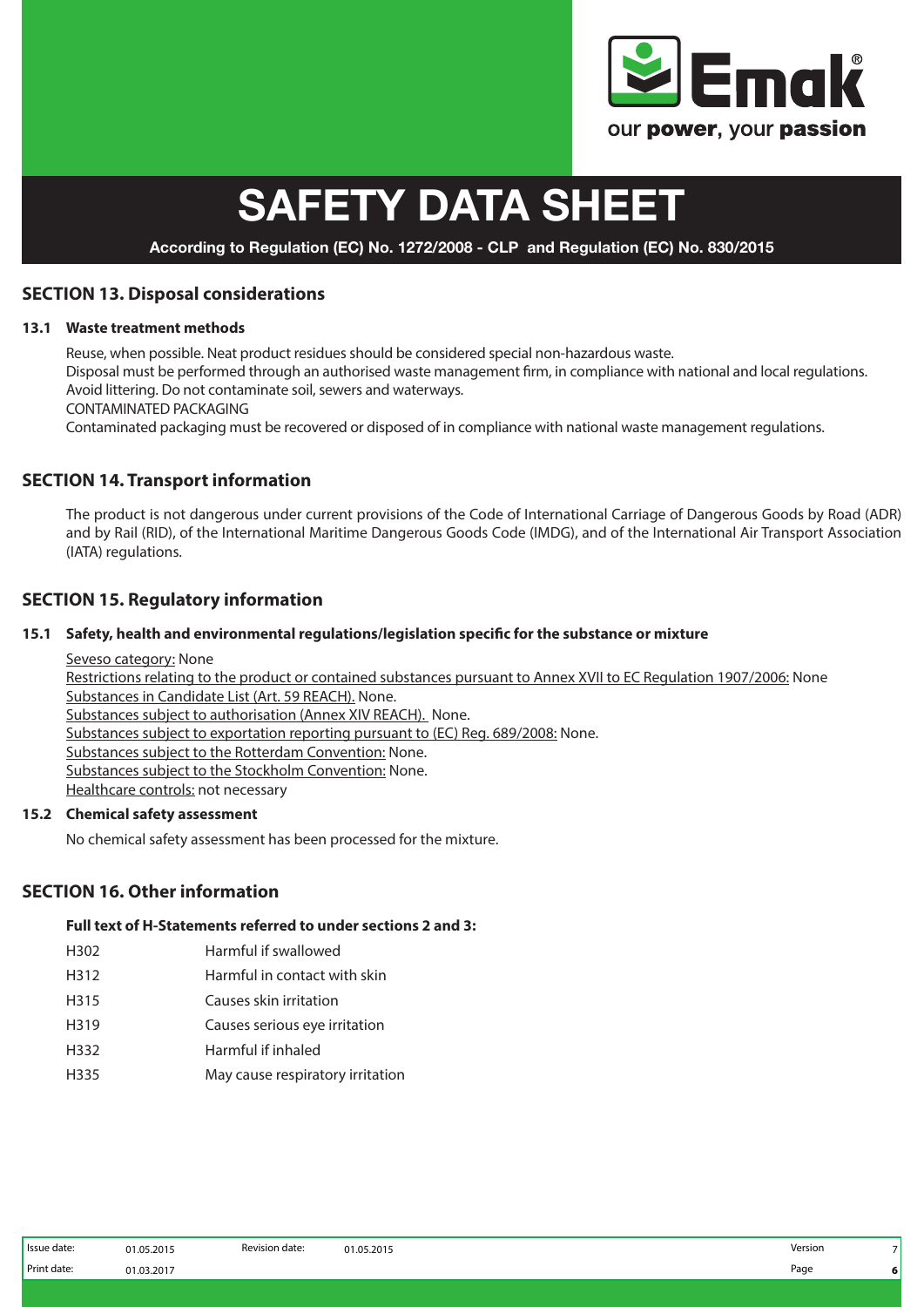

**According to Regulation (EC) No. 1272/2008 - CLP and Regulation (EC) No. 830/2015**

## **SECTION 13. Disposal considerations**

### **13.1 Waste treatment methods**

Reuse, when possible. Neat product residues should be considered special non-hazardous waste. Disposal must be performed through an authorised waste management firm, in compliance with national and local regulations. Avoid littering. Do not contaminate soil, sewers and waterways. CONTAMINATED PACKAGING Contaminated packaging must be recovered or disposed of in compliance with national waste management regulations.

## **SECTION 14. Transport information**

The product is not dangerous under current provisions of the Code of International Carriage of Dangerous Goods by Road (ADR) and by Rail (RID), of the International Maritime Dangerous Goods Code (IMDG), and of the International Air Transport Association (IATA) regulations.

## **SECTION 15. Regulatory information**

## **15.1 Safety, health and environmental regulations/legislation specific for the substance or mixture**

Seveso category: None Restrictions relating to the product or contained substances pursuant to Annex XVII to EC Regulation 1907/2006: None Substances in Candidate List (Art. 59 REACH). None. Substances subject to authorisation (Annex XIV REACH). None. Substances subject to exportation reporting pursuant to (EC) Reg. 689/2008: None. Substances subject to the Rotterdam Convention: None. Substances subject to the Stockholm Convention: None. Healthcare controls: not necessary

## **15.2 Chemical safety assessment**

No chemical safety assessment has been processed for the mixture.

## **SECTION 16. Other information**

# **Full text of H-Statements referred to under sections 2 and 3:**

- H302 Harmful if swallowed
- H312 Harmful in contact with skin
- H315 Causes skin irritation
- H319 Causes serious eye irritation
- H332 Harmful if inhaled
- H335 May cause respiratory irritation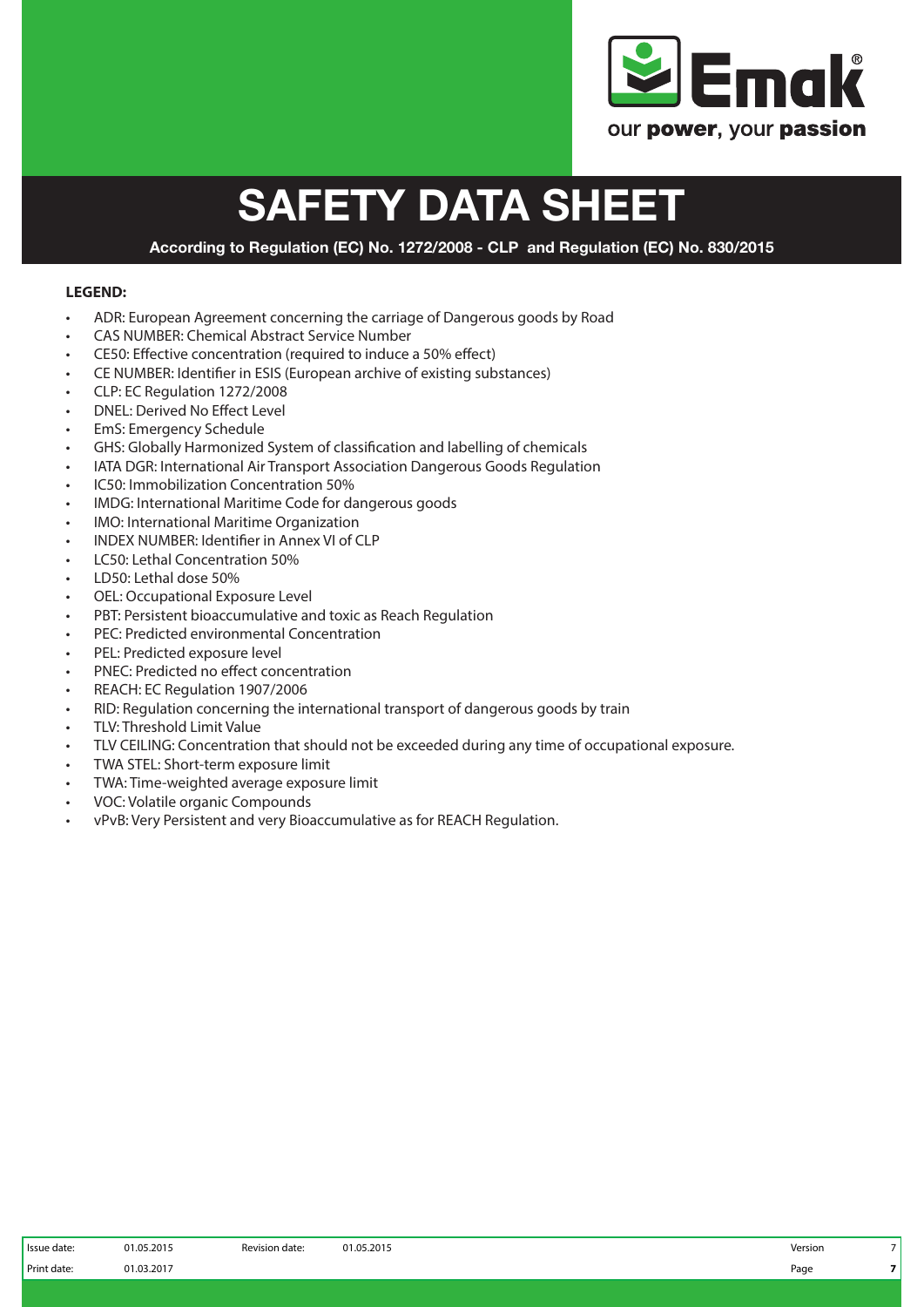

**According to Regulation (EC) No. 1272/2008 - CLP and Regulation (EC) No. 830/2015**

#### **LEGEND:**

- ADR: European Agreement concerning the carriage of Dangerous goods by Road
- CAS NUMBER: Chemical Abstract Service Number
- CE50: Effective concentration (required to induce a 50% effect)
- CE NUMBER: Identifier in ESIS (European archive of existing substances)
- CLP: EC Regulation 1272/2008
- DNEL: Derived No Effect Level
- **EmS: Emergency Schedule**
- GHS: Globally Harmonized System of classification and labelling of chemicals
- IATA DGR: International Air Transport Association Dangerous Goods Regulation
- IC50: Immobilization Concentration 50%
- IMDG: International Maritime Code for dangerous goods
- IMO: International Maritime Organization
- INDEX NUMBER: Identifier in Annex VI of CLP
- • LC50: Lethal Concentration 50%
- LD50: Lethal dose 50%
- OEL: Occupational Exposure Level
- PBT: Persistent bioaccumulative and toxic as Reach Regulation
- PEC: Predicted environmental Concentration
- PEL: Predicted exposure level
- PNEC: Predicted no effect concentration
- REACH: EC Regulation 1907/2006
- $RID:$  Requilation concerning the international transport of dangerous goods by train
- TLV: Threshold Limit Value
- TLV CEILING: Concentration that should not be exceeded during any time of occupational exposure.
- TWA STEL: Short-term exposure limit
- TWA: Time-weighted average exposure limit
- VOC: Volatile organic Compounds
- vPvB: Very Persistent and very Bioaccumulative as for REACH Regulation.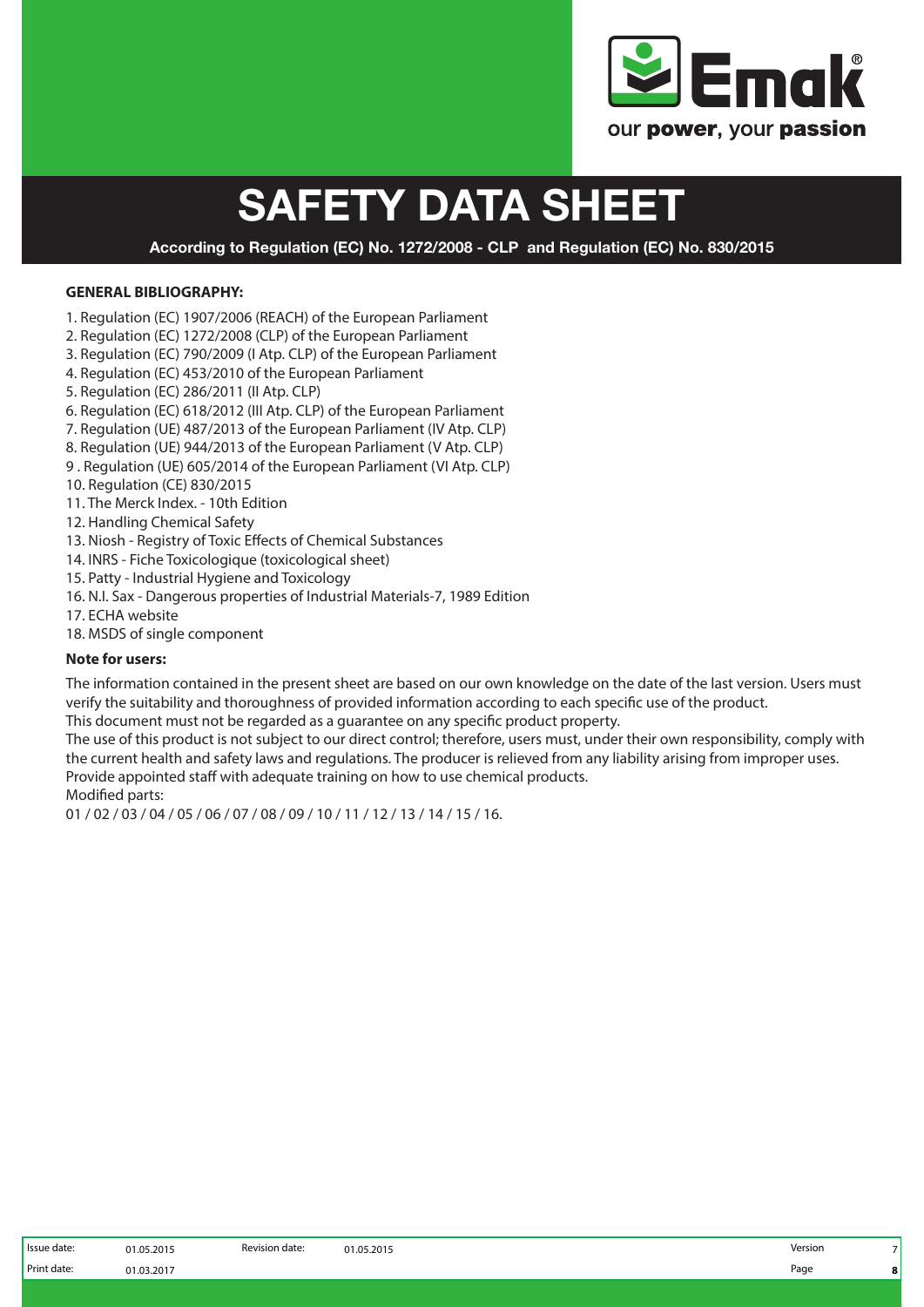

**According to Regulation (EC) No. 1272/2008 - CLP and Regulation (EC) No. 830/2015**

### **GENERAL BIBLIOGRAPHY:**

- 1. Regulation (EC) 1907/2006 (REACH) of the European Parliament
- 2. Regulation (EC) 1272/2008 (CLP) of the European Parliament
- 3. Regulation (EC) 790/2009 (I Atp. CLP) of the European Parliament
- 4. Regulation (EC) 453/2010 of the European Parliament
- 5. Regulation (EC) 286/2011 (II Atp. CLP)
- 6. Regulation (EC) 618/2012 (III Atp. CLP) of the European Parliament
- 7. Regulation (UE) 487/2013 of the European Parliament (IV Atp. CLP)
- 8. Regulation (UE) 944/2013 of the European Parliament (V Atp. CLP)
- 9 . Regulation (UE) 605/2014 of the European Parliament (VI Atp. CLP)
- 10. Regulation (CE) 830/2015
- 11. The Merck Index. 10th Edition
- 12. Handling Chemical Safety
- 13. Niosh Registry of Toxic Effects of Chemical Substances
- 14. INRS Fiche Toxicologique (toxicological sheet)
- 15. Patty Industrial Hygiene and Toxicology
- 16. N.I. Sax Dangerous properties of Industrial Materials-7, 1989 Edition
- 17. ECHA website
- 18. MSDS of single component

### **Note for users:**

The information contained in the present sheet are based on our own knowledge on the date of the last version. Users must verify the suitability and thoroughness of provided information according to each specific use of the product.

This document must not be regarded as a guarantee on any specific product property.

The use of this product is not subject to our direct control; therefore, users must, under their own responsibility, comply with the current health and safety laws and regulations. The producer is relieved from any liability arising from improper uses. Provide appointed staff with adequate training on how to use chemical products.

Modified parts:

01 / 02 / 03 / 04 / 05 / 06 / 07 / 08 / 09 / 10 / 11 / 12 / 13 / 14 / 15 / 16.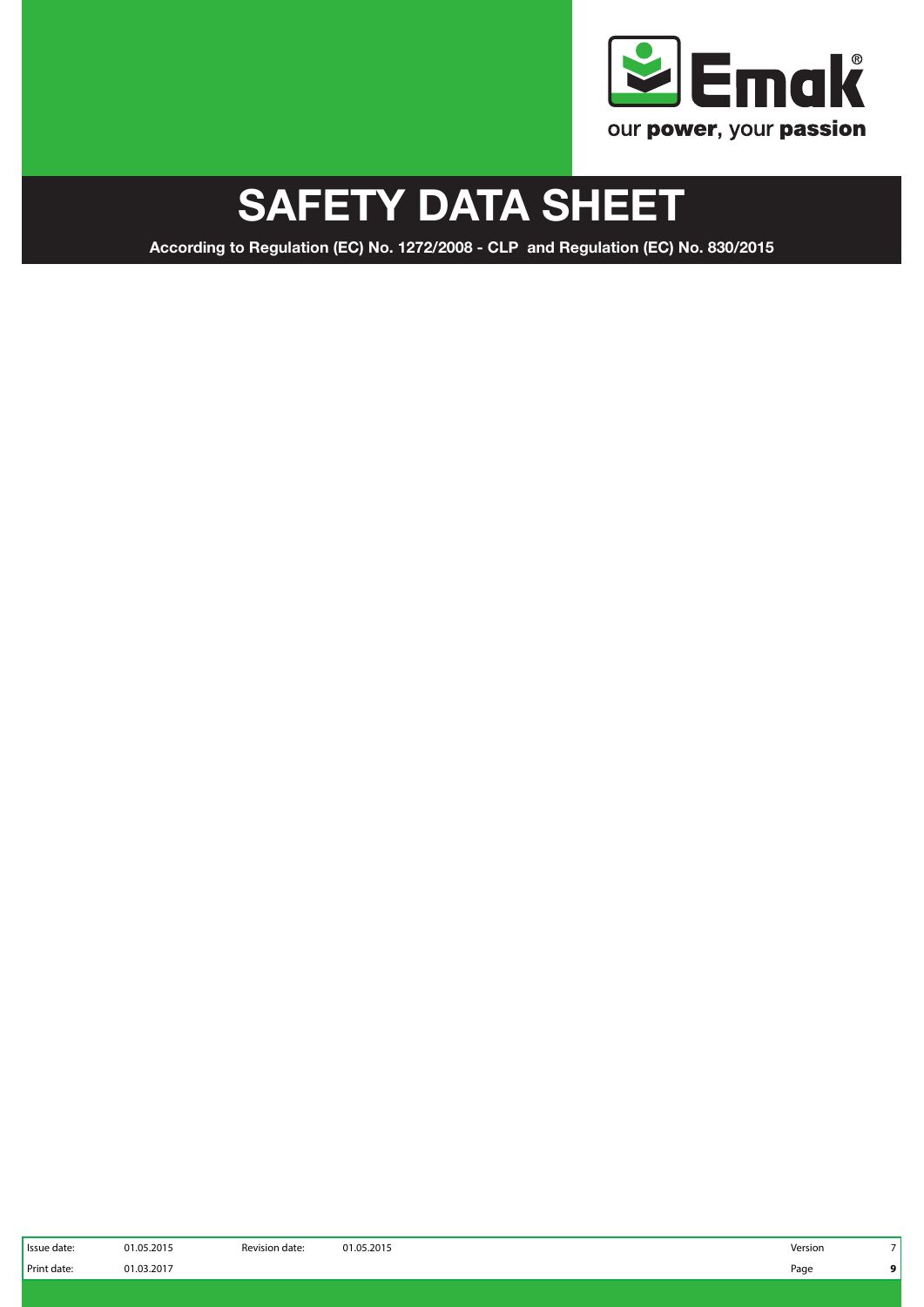

| Issue date: | 01.05.2015 | Revision date: | 01.05.2015 |  | Version |  |
|-------------|------------|----------------|------------|--|---------|--|
| Print date: | 01.03.2017 |                |            |  | Page    |  |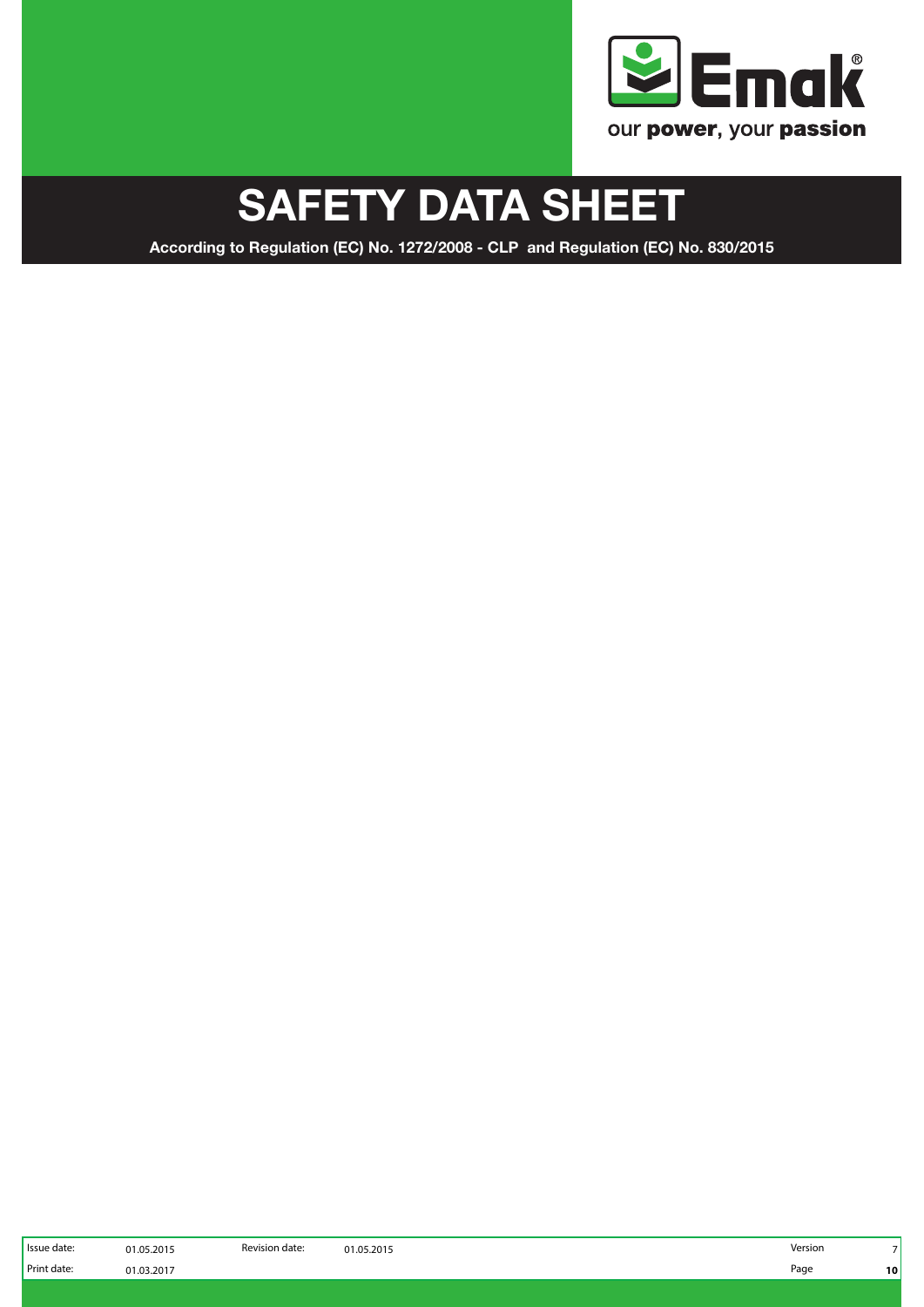

| Issue date:<br>. | 1.05.2015<br>. | Revision date: | 01.05.2015<br>. | Version |         |
|------------------|----------------|----------------|-----------------|---------|---------|
| Print date:      | 1.03.2017      |                |                 | Page    | <br>. . |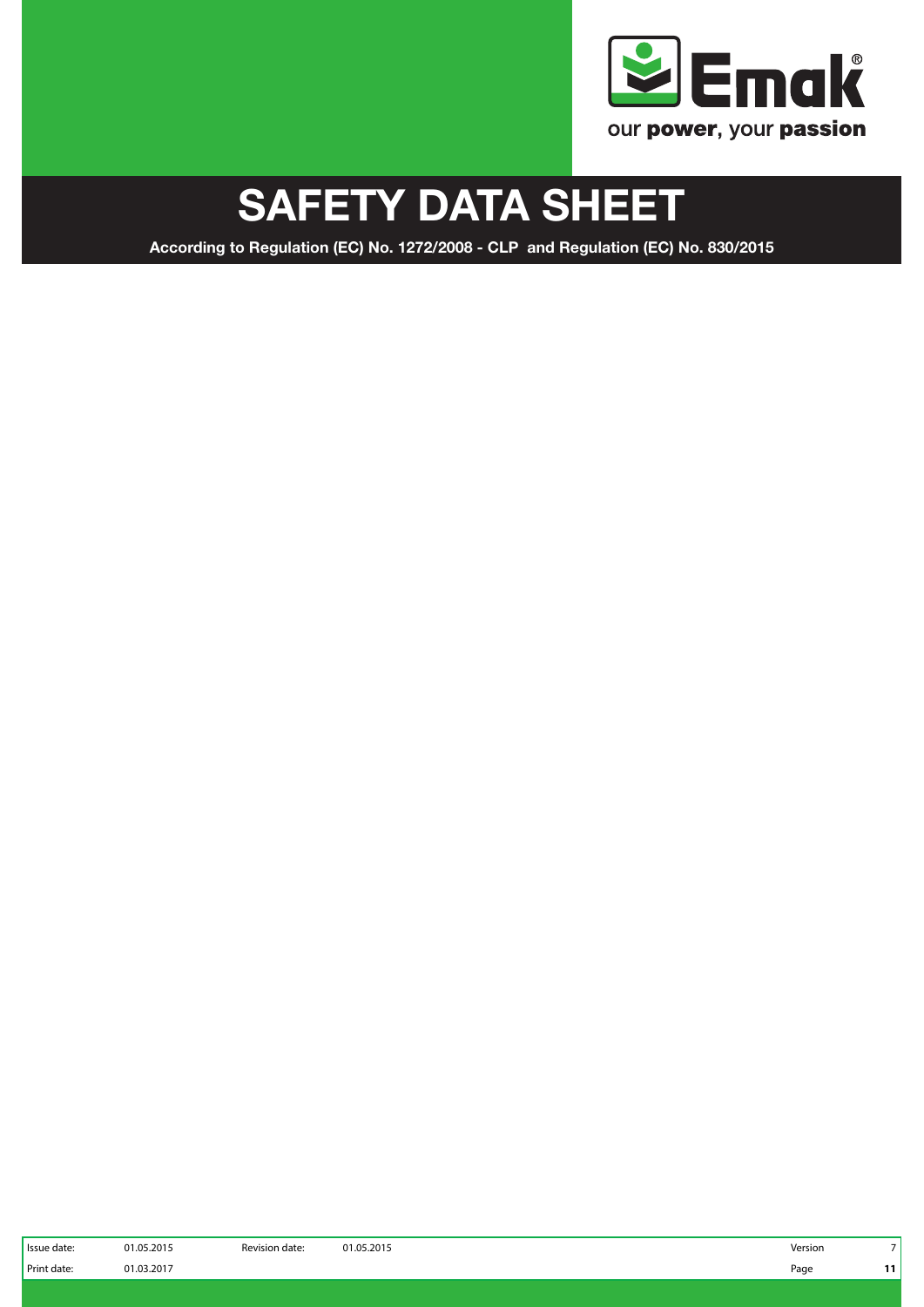

| Issue date: | 01.05.2015 | Revision date: | 01.05.2015 | Version |  |
|-------------|------------|----------------|------------|---------|--|
| Print date: | 01.03.2017 |                |            | Page    |  |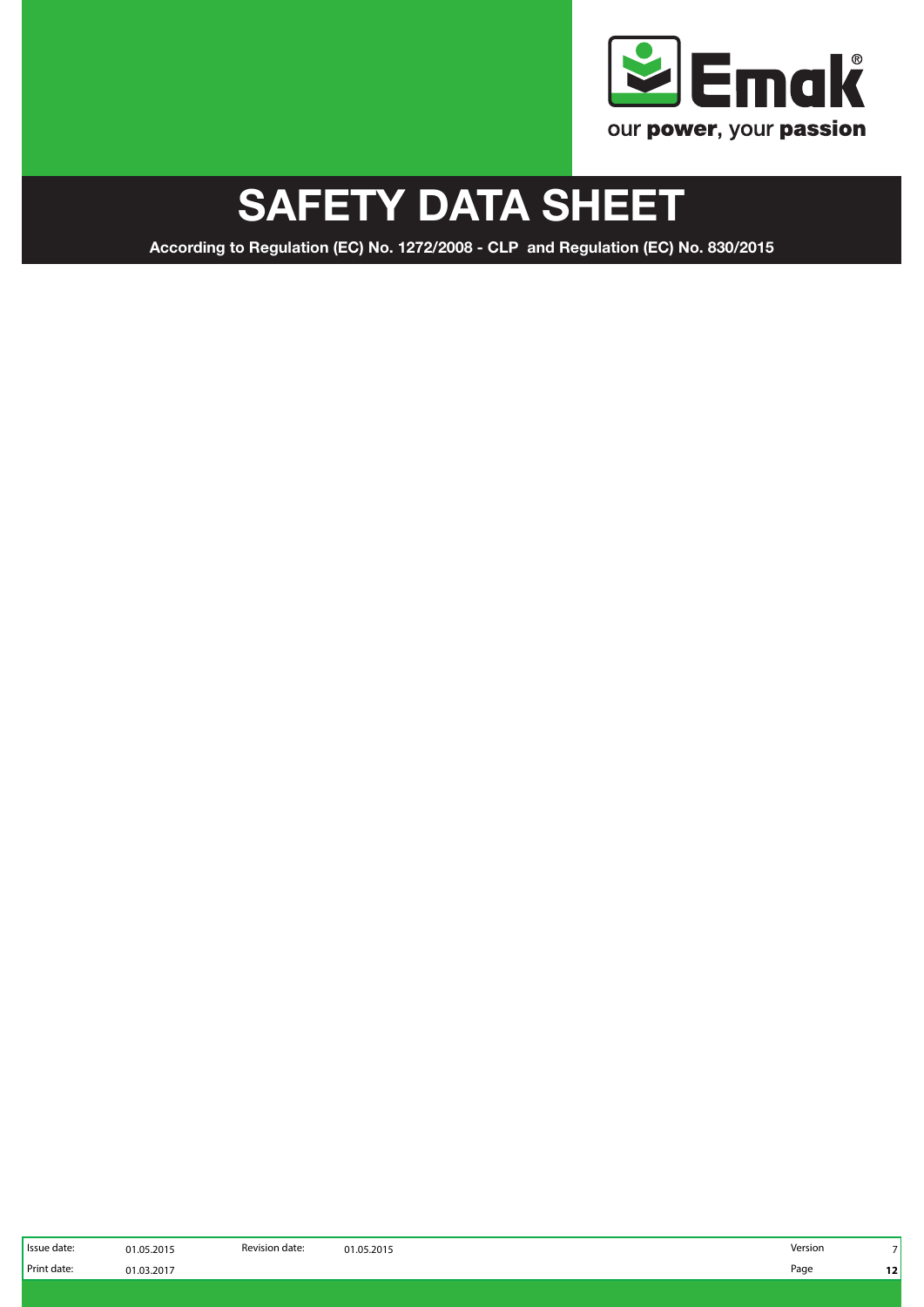

| Issue date: | 01.05.2015 | Revision date: | 01.05.2015<br>. | Version |  |
|-------------|------------|----------------|-----------------|---------|--|
| Print date: | 1.03.2017  |                |                 | Page    |  |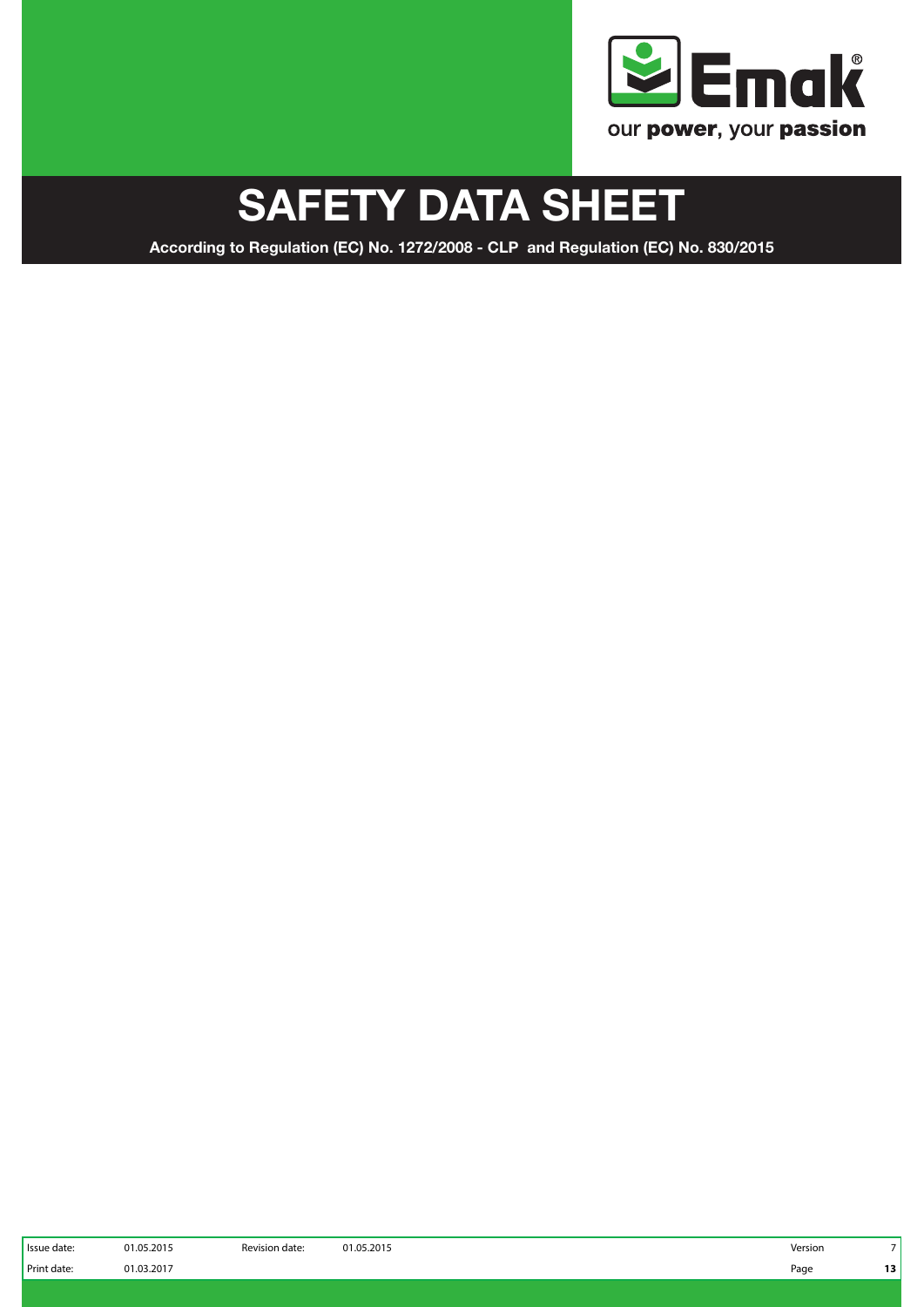

| Issue date: | 01.05.2015 | Revision date: | 01.05.2015 | Version |  |
|-------------|------------|----------------|------------|---------|--|
| Print date: | 01.03.2017 |                |            | Page    |  |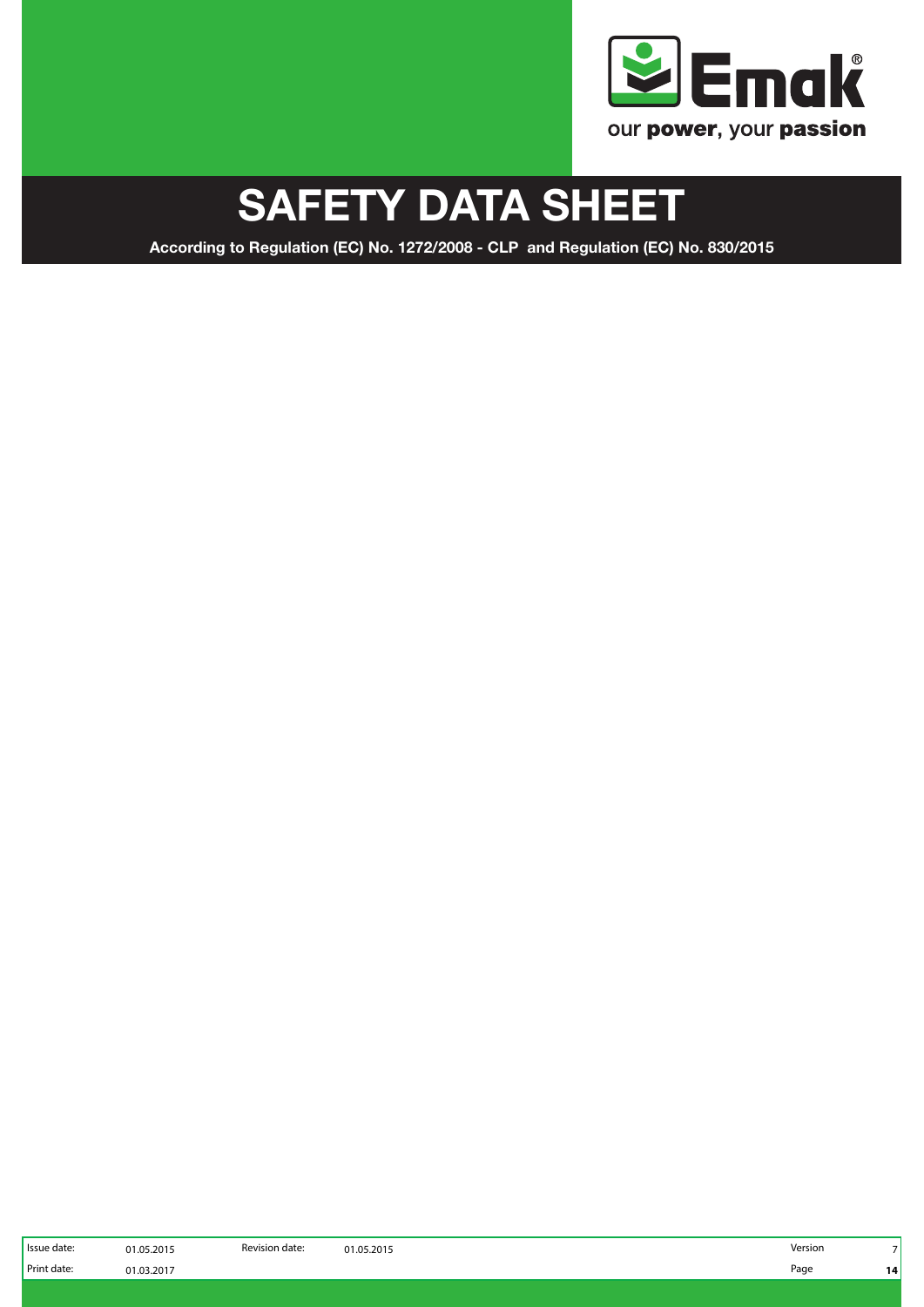

| Issue date:<br>. | .05.201 | Revision date:<br>. | .05.2015 | Version |  |
|------------------|---------|---------------------|----------|---------|--|
| Print<br>: date  | .03.201 |                     |          | Page    |  |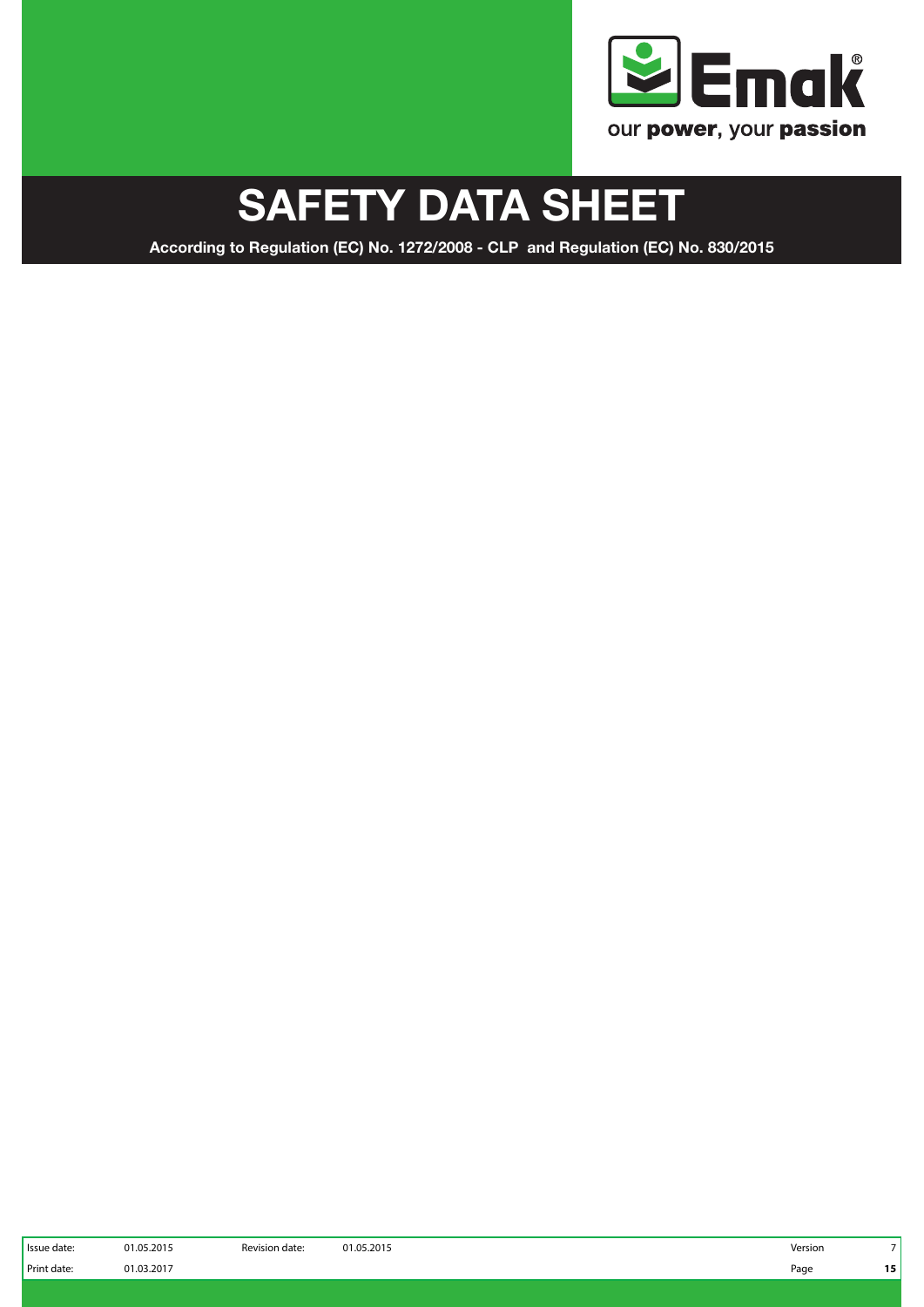

| Issue date: | 01.05.2015 | Revision date: | 01.05.2015 | Version<br>. |     |
|-------------|------------|----------------|------------|--------------|-----|
| Print date: | 01.03.2017 |                |            | Page         | . . |